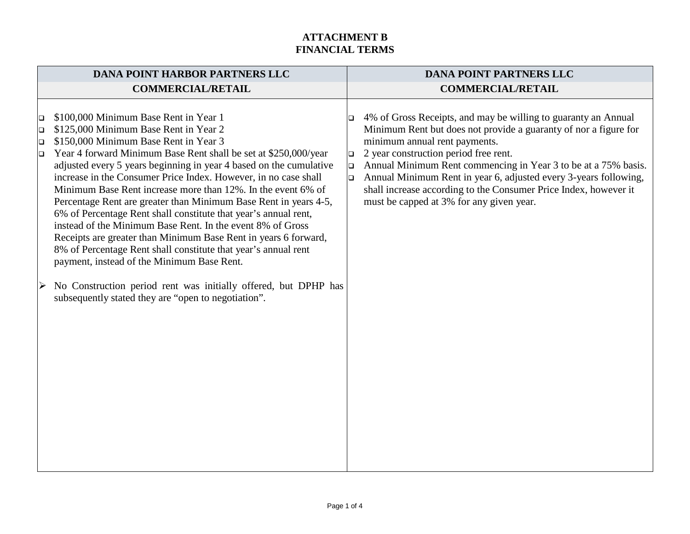| <b>DANA POINT HARBOR PARTNERS LLC</b> |                                                                                                                                                                                                                                                                                                                                                                                                                                                                                                                                                                                                                                                                                                                                                                                             | <b>DANA POINT PARTNERS LLC</b>  |                                                                                                                                                                                                                                                                                                                                                                                                                                                                    |  |
|---------------------------------------|---------------------------------------------------------------------------------------------------------------------------------------------------------------------------------------------------------------------------------------------------------------------------------------------------------------------------------------------------------------------------------------------------------------------------------------------------------------------------------------------------------------------------------------------------------------------------------------------------------------------------------------------------------------------------------------------------------------------------------------------------------------------------------------------|---------------------------------|--------------------------------------------------------------------------------------------------------------------------------------------------------------------------------------------------------------------------------------------------------------------------------------------------------------------------------------------------------------------------------------------------------------------------------------------------------------------|--|
|                                       | <b>COMMERCIAL/RETAIL</b>                                                                                                                                                                                                                                                                                                                                                                                                                                                                                                                                                                                                                                                                                                                                                                    |                                 | <b>COMMERCIAL/RETAIL</b>                                                                                                                                                                                                                                                                                                                                                                                                                                           |  |
| $\Box$<br>$\Box$<br>$\Box$<br>$\Box$  | \$100,000 Minimum Base Rent in Year 1<br>\$125,000 Minimum Base Rent in Year 2<br>\$150,000 Minimum Base Rent in Year 3<br>Year 4 forward Minimum Base Rent shall be set at \$250,000/year<br>adjusted every 5 years beginning in year 4 based on the cumulative<br>increase in the Consumer Price Index. However, in no case shall<br>Minimum Base Rent increase more than 12%. In the event 6% of<br>Percentage Rent are greater than Minimum Base Rent in years 4-5,<br>6% of Percentage Rent shall constitute that year's annual rent,<br>instead of the Minimum Base Rent. In the event 8% of Gross<br>Receipts are greater than Minimum Base Rent in years 6 forward,<br>8% of Percentage Rent shall constitute that year's annual rent<br>payment, instead of the Minimum Base Rent. | $\Box$<br>$\Box$<br>$\Box$<br>o | 4% of Gross Receipts, and may be willing to guaranty an Annual<br>Minimum Rent but does not provide a guaranty of nor a figure for<br>minimum annual rent payments.<br>2 year construction period free rent.<br>Annual Minimum Rent commencing in Year 3 to be at a 75% basis.<br>Annual Minimum Rent in year 6, adjusted every 3-years following,<br>shall increase according to the Consumer Price Index, however it<br>must be capped at 3% for any given year. |  |
| $\triangleright$                      | No Construction period rent was initially offered, but DPHP has<br>subsequently stated they are "open to negotiation".                                                                                                                                                                                                                                                                                                                                                                                                                                                                                                                                                                                                                                                                      |                                 |                                                                                                                                                                                                                                                                                                                                                                                                                                                                    |  |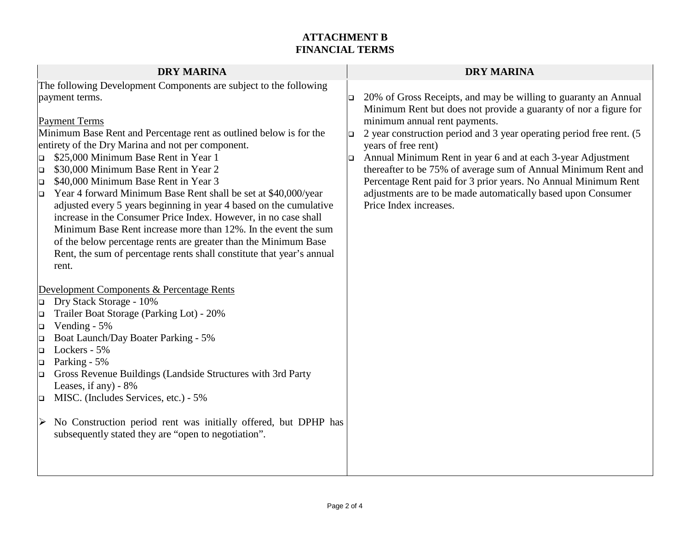| <b>DRY MARINA</b>                                                                                                                                                                                                                                                                                                                                                                                                                                                                          | <b>DRY MARINA</b>                                                                                                                                                                                                                                                                                                                                                                                    |
|--------------------------------------------------------------------------------------------------------------------------------------------------------------------------------------------------------------------------------------------------------------------------------------------------------------------------------------------------------------------------------------------------------------------------------------------------------------------------------------------|------------------------------------------------------------------------------------------------------------------------------------------------------------------------------------------------------------------------------------------------------------------------------------------------------------------------------------------------------------------------------------------------------|
| The following Development Components are subject to the following                                                                                                                                                                                                                                                                                                                                                                                                                          |                                                                                                                                                                                                                                                                                                                                                                                                      |
| payment terms.<br><b>Payment Terms</b><br>Minimum Base Rent and Percentage rent as outlined below is for the<br>entirety of the Dry Marina and not per component.<br>\$25,000 Minimum Base Rent in Year 1<br>$\Box$<br>\$30,000 Minimum Base Rent in Year 2<br>$\Box$                                                                                                                                                                                                                      | 20% of Gross Receipts, and may be willing to guaranty an Annual<br>Minimum Rent but does not provide a guaranty of nor a figure for<br>minimum annual rent payments.<br>2 year construction period and 3 year operating period free rent. (5<br>years of free rent)<br>Annual Minimum Rent in year 6 and at each 3-year Adjustment<br>thereafter to be 75% of average sum of Annual Minimum Rent and |
| \$40,000 Minimum Base Rent in Year 3<br>$\Box$<br>Year 4 forward Minimum Base Rent shall be set at \$40,000/year<br>$\Box$<br>adjusted every 5 years beginning in year 4 based on the cumulative<br>increase in the Consumer Price Index. However, in no case shall<br>Minimum Base Rent increase more than 12%. In the event the sum<br>of the below percentage rents are greater than the Minimum Base<br>Rent, the sum of percentage rents shall constitute that year's annual<br>rent. | Percentage Rent paid for 3 prior years. No Annual Minimum Rent<br>adjustments are to be made automatically based upon Consumer<br>Price Index increases.                                                                                                                                                                                                                                             |
| Development Components & Percentage Rents                                                                                                                                                                                                                                                                                                                                                                                                                                                  |                                                                                                                                                                                                                                                                                                                                                                                                      |
| Dry Stack Storage - 10%<br>$\Box$                                                                                                                                                                                                                                                                                                                                                                                                                                                          |                                                                                                                                                                                                                                                                                                                                                                                                      |
| Trailer Boat Storage (Parking Lot) - 20%<br>$\Box$                                                                                                                                                                                                                                                                                                                                                                                                                                         |                                                                                                                                                                                                                                                                                                                                                                                                      |
| Vending - 5%<br>$\Box$<br>Boat Launch/Day Boater Parking - 5%                                                                                                                                                                                                                                                                                                                                                                                                                              |                                                                                                                                                                                                                                                                                                                                                                                                      |
| $\Box$<br>Lockers - 5%<br>$\Box$                                                                                                                                                                                                                                                                                                                                                                                                                                                           |                                                                                                                                                                                                                                                                                                                                                                                                      |
| Parking - 5%<br>o                                                                                                                                                                                                                                                                                                                                                                                                                                                                          |                                                                                                                                                                                                                                                                                                                                                                                                      |
| Gross Revenue Buildings (Landside Structures with 3rd Party<br>$\Box$                                                                                                                                                                                                                                                                                                                                                                                                                      |                                                                                                                                                                                                                                                                                                                                                                                                      |
| Leases, if any) $-8\%$<br>MISC. (Includes Services, etc.) - 5%                                                                                                                                                                                                                                                                                                                                                                                                                             |                                                                                                                                                                                                                                                                                                                                                                                                      |
| $\Box$                                                                                                                                                                                                                                                                                                                                                                                                                                                                                     |                                                                                                                                                                                                                                                                                                                                                                                                      |
| $\triangleright$ No Construction period rent was initially offered, but DPHP has<br>subsequently stated they are "open to negotiation".                                                                                                                                                                                                                                                                                                                                                    |                                                                                                                                                                                                                                                                                                                                                                                                      |
|                                                                                                                                                                                                                                                                                                                                                                                                                                                                                            |                                                                                                                                                                                                                                                                                                                                                                                                      |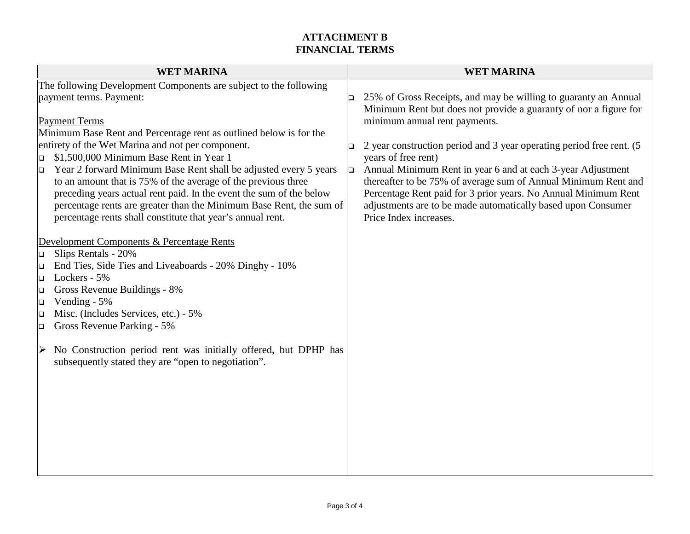| <b>WET MARINA</b>                                                                                                                                                                                                                                                                                                                                                                                                                                                 | <b>WET MARINA</b>                                                                                                                                                                                                                                                                                                                                                                                              |
|-------------------------------------------------------------------------------------------------------------------------------------------------------------------------------------------------------------------------------------------------------------------------------------------------------------------------------------------------------------------------------------------------------------------------------------------------------------------|----------------------------------------------------------------------------------------------------------------------------------------------------------------------------------------------------------------------------------------------------------------------------------------------------------------------------------------------------------------------------------------------------------------|
| The following Development Components are subject to the following<br>payment terms. Payment:<br><b>Payment Terms</b><br>Minimum Base Rent and Percentage rent as outlined below is for the                                                                                                                                                                                                                                                                        | 25% of Gross Receipts, and may be willing to guaranty an Annual<br>IО<br>Minimum Rent but does not provide a guaranty of nor a figure for<br>minimum annual rent payments.                                                                                                                                                                                                                                     |
| entirety of the Wet Marina and not per component.<br>\$1,500,000 Minimum Base Rent in Year 1<br>$\Box$<br>Year 2 forward Minimum Base Rent shall be adjusted every 5 years<br>$\Box$<br>to an amount that is 75% of the average of the previous three<br>preceding years actual rent paid. In the event the sum of the below<br>percentage rents are greater than the Minimum Base Rent, the sum of<br>percentage rents shall constitute that year's annual rent. | 2 year construction period and 3 year operating period free rent. (5<br>$\Box$<br>years of free rent)<br>Annual Minimum Rent in year 6 and at each 3-year Adjustment<br><b>D</b><br>thereafter to be 75% of average sum of Annual Minimum Rent and<br>Percentage Rent paid for 3 prior years. No Annual Minimum Rent<br>adjustments are to be made automatically based upon Consumer<br>Price Index increases. |
| Development Components & Percentage Rents<br>Slips Rentals - 20%<br>O.<br>End Ties, Side Ties and Liveaboards - 20% Dinghy - 10%<br>$\Box$<br>Lockers - 5%<br>$\Box$<br>Gross Revenue Buildings - 8%<br>$\Box$<br>Vending - 5%<br>$\Box$<br>Misc. (Includes Services, etc.) - 5%<br>▫<br>Gross Revenue Parking - 5%<br>$\Box$                                                                                                                                     |                                                                                                                                                                                                                                                                                                                                                                                                                |
| No Construction period rent was initially offered, but DPHP has<br>➤<br>subsequently stated they are "open to negotiation".                                                                                                                                                                                                                                                                                                                                       |                                                                                                                                                                                                                                                                                                                                                                                                                |